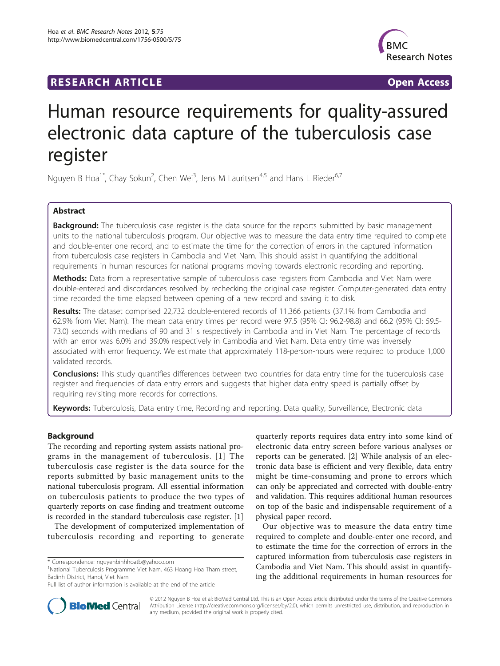## **RESEARCH ARTICLE Example 2018 CONSIDERING ACCESS**



# Human resource requirements for quality-assured electronic data capture of the tuberculosis case register

Nguyen B Hoa<sup>1\*</sup>, Chay Sokun<sup>2</sup>, Chen Wei<sup>3</sup>, Jens M Lauritsen<sup>4,5</sup> and Hans L Rieder<sup>6,7</sup>

## Abstract

Background: The tuberculosis case register is the data source for the reports submitted by basic management units to the national tuberculosis program. Our objective was to measure the data entry time required to complete and double-enter one record, and to estimate the time for the correction of errors in the captured information from tuberculosis case registers in Cambodia and Viet Nam. This should assist in quantifying the additional requirements in human resources for national programs moving towards electronic recording and reporting.

Methods: Data from a representative sample of tuberculosis case registers from Cambodia and Viet Nam were double-entered and discordances resolved by rechecking the original case register. Computer-generated data entry time recorded the time elapsed between opening of a new record and saving it to disk.

Results: The dataset comprised 22,732 double-entered records of 11,366 patients (37.1% from Cambodia and 62.9% from Viet Nam). The mean data entry times per record were 97.5 (95% CI: 96.2-98.8) and 66.2 (95% CI: 59.5- 73.0) seconds with medians of 90 and 31 s respectively in Cambodia and in Viet Nam. The percentage of records with an error was 6.0% and 39.0% respectively in Cambodia and Viet Nam. Data entry time was inversely associated with error frequency. We estimate that approximately 118-person-hours were required to produce 1,000 validated records.

**Conclusions:** This study quantifies differences between two countries for data entry time for the tuberculosis case register and frequencies of data entry errors and suggests that higher data entry speed is partially offset by requiring revisiting more records for corrections.

Keywords: Tuberculosis, Data entry time, Recording and reporting, Data quality, Surveillance, Electronic data

## Background

The recording and reporting system assists national programs in the management of tuberculosis. [[1](#page-6-0)] The tuberculosis case register is the data source for the reports submitted by basic management units to the national tuberculosis program. All essential information on tuberculosis patients to produce the two types of quarterly reports on case finding and treatment outcome is recorded in the standard tuberculosis case register. [\[1\]](#page-6-0)

The development of computerized implementation of tuberculosis recording and reporting to generate

<sup>1</sup>National Tuberculosis Programme Viet Nam, 463 Hoang Hoa Tham street, Badinh District, Hanoi, Viet Nam

quarterly reports requires data entry into some kind of electronic data entry screen before various analyses or reports can be generated. [\[2](#page-6-0)] While analysis of an electronic data base is efficient and very flexible, data entry might be time-consuming and prone to errors which can only be appreciated and corrected with double-entry and validation. This requires additional human resources on top of the basic and indispensable requirement of a physical paper record.

Our objective was to measure the data entry time required to complete and double-enter one record, and to estimate the time for the correction of errors in the captured information from tuberculosis case registers in Cambodia and Viet Nam. This should assist in quantifying the additional requirements in human resources for



© 2012 Nguyen B Hoa et al; BioMed Central Ltd. This is an Open Access article distributed under the terms of the Creative Commons Attribution License [\(http://creativecommons.org/licenses/by/2.0](http://creativecommons.org/licenses/by/2.0)), which permits unrestricted use, distribution, and reproduction in any medium, provided the original work is properly cited.

<sup>\*</sup> Correspondence: [nguyenbinhhoatb@yahoo.com](mailto:nguyenbinhhoatb@yahoo.com)

Full list of author information is available at the end of the article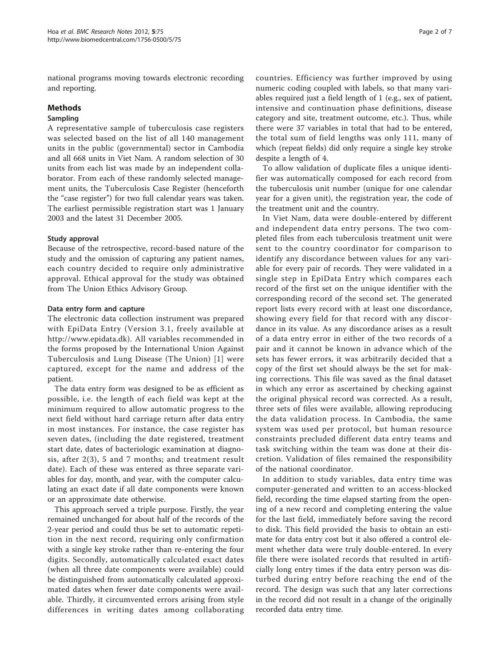national programs moving towards electronic recording and reporting.

### Methods

#### Sampling

A representative sample of tuberculosis case registers was selected based on the list of all 140 management units in the public (governmental) sector in Cambodia and all 668 units in Viet Nam. A random selection of 30 units from each list was made by an independent collaborator. From each of these randomly selected management units, the Tuberculosis Case Register (henceforth the "case register") for two full calendar years was taken. The earliest permissible registration start was 1 January 2003 and the latest 31 December 2005.

## Study approval

Because of the retrospective, record-based nature of the study and the omission of capturing any patient names, each country decided to require only administrative approval. Ethical approval for the study was obtained from The Union Ethics Advisory Group.

### Data entry form and capture

The electronic data collection instrument was prepared with EpiData Entry (Version 3.1, freely available at [http://www.epidata.dk\)](http://www.epidata.dk). All variables recommended in the forms proposed by the International Union Against Tuberculosis and Lung Disease (The Union) [[1](#page-6-0)] were captured, except for the name and address of the patient.

The data entry form was designed to be as efficient as possible, i.e. the length of each field was kept at the minimum required to allow automatic progress to the next field without hard carriage return after data entry in most instances. For instance, the case register has seven dates, (including the date registered, treatment start date, dates of bacteriologic examination at diagnosis, after 2(3), 5 and 7 months; and treatment result date). Each of these was entered as three separate variables for day, month, and year, with the computer calculating an exact date if all date components were known or an approximate date otherwise.

This approach served a triple purpose. Firstly, the year remained unchanged for about half of the records of the 2-year period and could thus be set to automatic repetition in the next record, requiring only confirmation with a single key stroke rather than re-entering the four digits. Secondly, automatically calculated exact dates (when all three date components were available) could be distinguished from automatically calculated approximated dates when fewer date components were available. Thirdly, it circumvented errors arising from style differences in writing dates among collaborating countries. Efficiency was further improved by using numeric coding coupled with labels, so that many variables required just a field length of 1 (e.g., sex of patient, intensive and continuation phase definitions, disease category and site, treatment outcome, etc.). Thus, while there were 37 variables in total that had to be entered, the total sum of field lengths was only 111, many of which (repeat fields) did only require a single key stroke despite a length of 4.

To allow validation of duplicate files a unique identifier was automatically composed for each record from the tuberculosis unit number (unique for one calendar year for a given unit), the registration year, the code of the treatment unit and the country.

In Viet Nam, data were double-entered by different and independent data entry persons. The two completed files from each tuberculosis treatment unit were sent to the country coordinator for comparison to identify any discordance between values for any variable for every pair of records. They were validated in a single step in EpiData Entry which compares each record of the first set on the unique identifier with the corresponding record of the second set. The generated report lists every record with at least one discordance, showing every field for that record with any discordance in its value. As any discordance arises as a result of a data entry error in either of the two records of a pair and it cannot be known in advance which of the sets has fewer errors, it was arbitrarily decided that a copy of the first set should always be the set for making corrections. This file was saved as the final dataset in which any error as ascertained by checking against the original physical record was corrected. As a result, three sets of files were available, allowing reproducing the data validation process. In Cambodia, the same system was used per protocol, but human resource constraints precluded different data entry teams and task switching within the team was done at their discretion. Validation of files remained the responsibility of the national coordinator.

In addition to study variables, data entry time was computer-generated and written to an access-blocked field, recording the time elapsed starting from the opening of a new record and completing entering the value for the last field, immediately before saving the record to disk. This field provided the basis to obtain an estimate for data entry cost but it also offered a control element whether data were truly double-entered. In every file there were isolated records that resulted in artificially long entry times if the data entry person was disturbed during entry before reaching the end of the record. The design was such that any later corrections in the record did not result in a change of the originally recorded data entry time.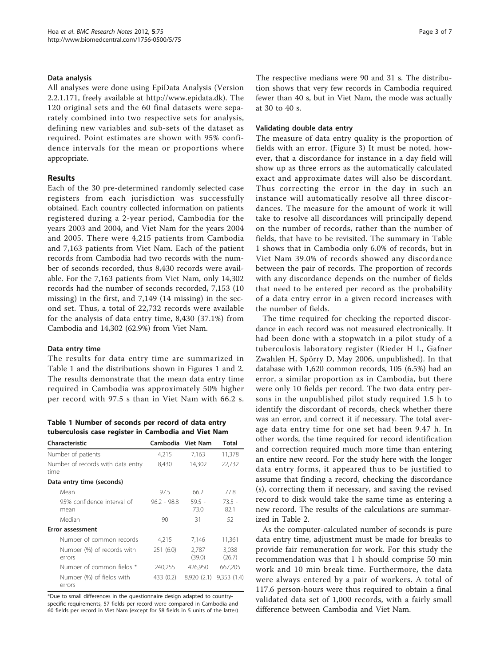#### Data analysis

All analyses were done using EpiData Analysis (Version 2.2.1.171, freely available at<http://www.epidata.dk>). The 120 original sets and the 60 final datasets were separately combined into two respective sets for analysis, defining new variables and sub-sets of the dataset as required. Point estimates are shown with 95% confidence intervals for the mean or proportions where appropriate.

## Results

Each of the 30 pre-determined randomly selected case registers from each jurisdiction was successfully obtained. Each country collected information on patients registered during a 2-year period, Cambodia for the years 2003 and 2004, and Viet Nam for the years 2004 and 2005. There were 4,215 patients from Cambodia and 7,163 patients from Viet Nam. Each of the patient records from Cambodia had two records with the number of seconds recorded, thus 8,430 records were available. For the 7,163 patients from Viet Nam, only 14,302 records had the number of seconds recorded, 7,153 (10 missing) in the first, and 7,149 (14 missing) in the second set. Thus, a total of 22,732 records were available for the analysis of data entry time, 8,430 (37.1%) from Cambodia and 14,302 (62.9%) from Viet Nam.

#### Data entry time

The results for data entry time are summarized in Table 1 and the distributions shown in Figures 1 and 2. The results demonstrate that the mean data entry time required in Cambodia was approximately 50% higher per record with 97.5 s than in Viet Nam with 66.2 s.

Table 1 Number of seconds per record of data entry tuberculosis case register in Cambodia and Viet Nam

| Characteristic                            | Cambodia Viet Nam |                  | <b>Total</b>     |
|-------------------------------------------|-------------------|------------------|------------------|
| Number of patients                        | 4,215             | 7,163            | 11,378           |
| Number of records with data entry<br>time | 8,430             | 14,302           | 22,732           |
| Data entry time (seconds)                 |                   |                  |                  |
| Mean                                      | 97.5              | 66.2             | 77.8             |
| 95% confidence interval of<br>mean        | $96.2 - 98.8$     | $59.5 -$<br>73.0 | $73.5 -$<br>82.1 |
| Median                                    | 90                | 31               | 52               |
| <b>Error assessment</b>                   |                   |                  |                  |
| Number of common records                  | 4.215             | 7,146            | 11,361           |
| Number (%) of records with<br>errors      | 251 (6.0)         | 2,787<br>(39.0)  | 3,038<br>(26.7)  |
| Number of common fields *                 | 240,255           | 426,950          | 667,205          |
| Number (%) of fields with<br>errors       | 433 (0.2)         | 8,920 (2.1)      | 9,353(1.4)       |

\*Due to small differences in the questionnaire design adapted to countryspecific requirements, 57 fields per record were compared in Cambodia and 60 fields per record in Viet Nam (except for 58 fields in 5 units of the latter) The respective medians were 90 and 31 s. The distribution shows that very few records in Cambodia required fewer than 40 s, but in Viet Nam, the mode was actually at 30 to 40 s.

### Validating double data entry

The measure of data entry quality is the proportion of fields with an error. (Figure [3](#page-4-0)) It must be noted, however, that a discordance for instance in a day field will show up as three errors as the automatically calculated exact and approximate dates will also be discordant. Thus correcting the error in the day in such an instance will automatically resolve all three discordances. The measure for the amount of work it will take to resolve all discordances will principally depend on the number of records, rather than the number of fields, that have to be revisited. The summary in Table 1 shows that in Cambodia only 6.0% of records, but in Viet Nam 39.0% of records showed any discordance between the pair of records. The proportion of records with any discordance depends on the number of fields that need to be entered per record as the probability of a data entry error in a given record increases with the number of fields.

The time required for checking the reported discordance in each record was not measured electronically. It had been done with a stopwatch in a pilot study of a tuberculosis laboratory register (Rieder H L, Gafner Zwahlen H, Spörry D, May 2006, unpublished). In that database with 1,620 common records, 105 (6.5%) had an error, a similar proportion as in Cambodia, but there were only 10 fields per record. The two data entry persons in the unpublished pilot study required 1.5 h to identify the discordant of records, check whether there was an error, and correct it if necessary. The total average data entry time for one set had been 9.47 h. In other words, the time required for record identification and correction required much more time than entering an entire new record. For the study here with the longer data entry forms, it appeared thus to be justified to assume that finding a record, checking the discordance (s), correcting them if necessary, and saving the revised record to disk would take the same time as entering a new record. The results of the calculations are summarized in Table [2.](#page-5-0)

As the computer-calculated number of seconds is pure data entry time, adjustment must be made for breaks to provide fair remuneration for work. For this study the recommendation was that 1 h should comprise 50 min work and 10 min break time. Furthermore, the data were always entered by a pair of workers. A total of 117.6 person-hours were thus required to obtain a final validated data set of 1,000 records, with a fairly small difference between Cambodia and Viet Nam.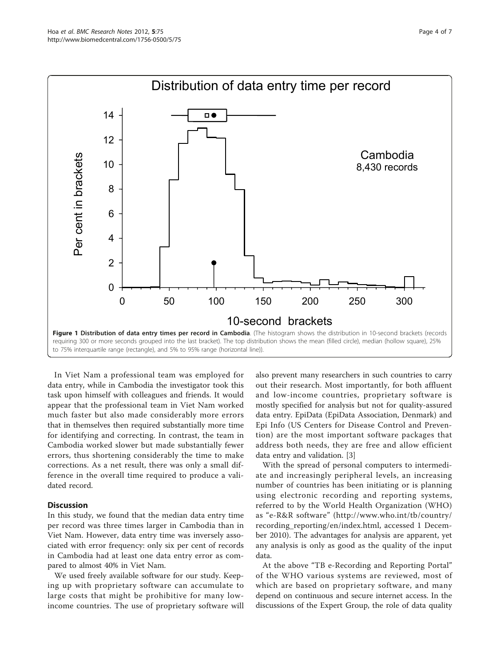

In Viet Nam a professional team was employed for data entry, while in Cambodia the investigator took this task upon himself with colleagues and friends. It would appear that the professional team in Viet Nam worked much faster but also made considerably more errors that in themselves then required substantially more time for identifying and correcting. In contrast, the team in Cambodia worked slower but made substantially fewer errors, thus shortening considerably the time to make corrections. As a net result, there was only a small difference in the overall time required to produce a validated record.

## **Discussion**

In this study, we found that the median data entry time per record was three times larger in Cambodia than in Viet Nam. However, data entry time was inversely associated with error frequency: only six per cent of records in Cambodia had at least one data entry error as compared to almost 40% in Viet Nam.

We used freely available software for our study. Keeping up with proprietary software can accumulate to large costs that might be prohibitive for many lowincome countries. The use of proprietary software will

also prevent many researchers in such countries to carry out their research. Most importantly, for both affluent and low-income countries, proprietary software is mostly specified for analysis but not for quality-assured data entry. EpiData (EpiData Association, Denmark) and Epi Info (US Centers for Disease Control and Prevention) are the most important software packages that address both needs, they are free and allow efficient data entry and validation. [[3\]](#page-6-0)

With the spread of personal computers to intermediate and increasingly peripheral levels, an increasing number of countries has been initiating or is planning using electronic recording and reporting systems, referred to by the World Health Organization (WHO) as "e-R&R software" [\(http://www.who.int/tb/country/](http://www.who.int/tb/country/recording_reporting/en/index.html) [recording\\_reporting/en/index.html](http://www.who.int/tb/country/recording_reporting/en/index.html), accessed 1 December 2010). The advantages for analysis are apparent, yet any analysis is only as good as the quality of the input data.

At the above "TB e-Recording and Reporting Portal" of the WHO various systems are reviewed, most of which are based on proprietary software, and many depend on continuous and secure internet access. In the discussions of the Expert Group, the role of data quality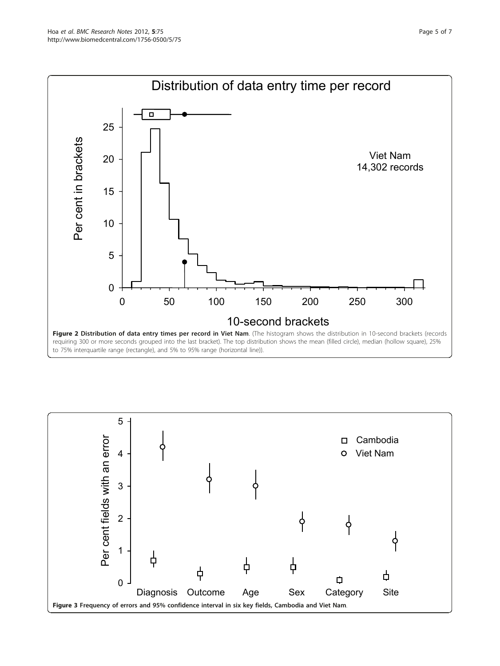<span id="page-4-0"></span>

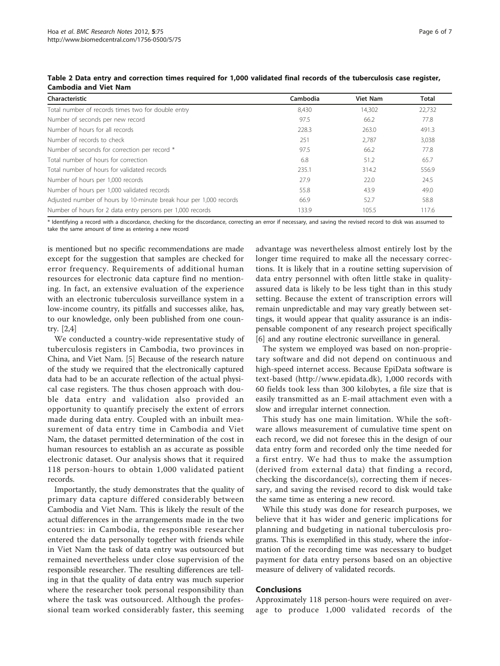| Characteristic                                                     | Cambodia | <b>Viet Nam</b> | <b>Total</b> |
|--------------------------------------------------------------------|----------|-----------------|--------------|
| Total number of records times two for double entry                 | 8,430    | 14,302          | 22,732       |
| Number of seconds per new record                                   | 97.5     | 66.2            | 77.8         |
| Number of hours for all records                                    | 228.3    | 263.0           | 491.3        |
| Number of records to check                                         | 251      | 2,787           | 3,038        |
| Number of seconds for correction per record *                      | 97.5     | 66.2            | 77.8         |
| Total number of hours for correction                               | 6.8      | 51.2            | 65.7         |
| Total number of hours for validated records                        | 235.1    | 314.2           | 556.9        |
| Number of hours per 1,000 records                                  | 27.9     | 22.0            | 24.5         |
| Number of hours per 1,000 validated records                        | 55.8     | 43.9            | 49.0         |
| Adjusted number of hours by 10-minute break hour per 1,000 records | 66.9     | 52.7            | 58.8         |
| Number of hours for 2 data entry persons per 1,000 records         | 133.9    | 105.5           | 117.6        |

<span id="page-5-0"></span>Table 2 Data entry and correction times required for 1,000 validated final records of the tuberculosis case register, Cambodia and Viet Nam

\* Identifying a record with a discordance, checking for the discordance, correcting an error if necessary, and saving the revised record to disk was assumed to take the same amount of time as entering a new record

is mentioned but no specific recommendations are made except for the suggestion that samples are checked for error frequency. Requirements of additional human resources for electronic data capture find no mentioning. In fact, an extensive evaluation of the experience with an electronic tuberculosis surveillance system in a low-income country, its pitfalls and successes alike, has, to our knowledge, only been published from one country. [\[2,4](#page-6-0)]

We conducted a country-wide representative study of tuberculosis registers in Cambodia, two provinces in China, and Viet Nam. [\[5\]](#page-6-0) Because of the research nature of the study we required that the electronically captured data had to be an accurate reflection of the actual physical case registers. The thus chosen approach with double data entry and validation also provided an opportunity to quantify precisely the extent of errors made during data entry. Coupled with an inbuilt measurement of data entry time in Cambodia and Viet Nam, the dataset permitted determination of the cost in human resources to establish an as accurate as possible electronic dataset. Our analysis shows that it required 118 person-hours to obtain 1,000 validated patient records.

Importantly, the study demonstrates that the quality of primary data capture differed considerably between Cambodia and Viet Nam. This is likely the result of the actual differences in the arrangements made in the two countries: in Cambodia, the responsible researcher entered the data personally together with friends while in Viet Nam the task of data entry was outsourced but remained nevertheless under close supervision of the responsible researcher. The resulting differences are telling in that the quality of data entry was much superior where the researcher took personal responsibility than where the task was outsourced. Although the professional team worked considerably faster, this seeming advantage was nevertheless almost entirely lost by the longer time required to make all the necessary corrections. It is likely that in a routine setting supervision of data entry personnel with often little stake in qualityassured data is likely to be less tight than in this study setting. Because the extent of transcription errors will remain unpredictable and may vary greatly between settings, it would appear that quality assurance is an indispensable component of any research project specifically [[6\]](#page-6-0) and any routine electronic surveillance in general.

The system we employed was based on non-proprietary software and did not depend on continuous and high-speed internet access. Because EpiData software is text-based [\(http://www.epidata.dk\)](http://www.epidata.dk), 1,000 records with 60 fields took less than 300 kilobytes, a file size that is easily transmitted as an E-mail attachment even with a slow and irregular internet connection.

This study has one main limitation. While the software allows measurement of cumulative time spent on each record, we did not foresee this in the design of our data entry form and recorded only the time needed for a first entry. We had thus to make the assumption (derived from external data) that finding a record, checking the discordance(s), correcting them if necessary, and saving the revised record to disk would take the same time as entering a new record.

While this study was done for research purposes, we believe that it has wider and generic implications for planning and budgeting in national tuberculosis programs. This is exemplified in this study, where the information of the recording time was necessary to budget payment for data entry persons based on an objective measure of delivery of validated records.

## Conclusions

Approximately 118 person-hours were required on average to produce 1,000 validated records of the